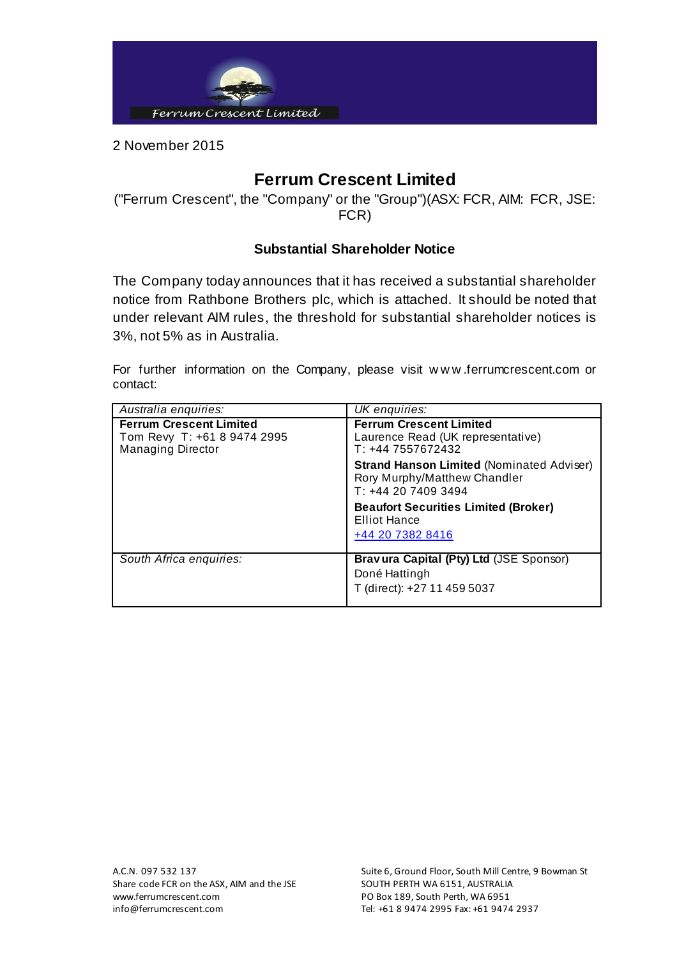

2 November 2015

## **Ferrum Crescent Limited**

("Ferrum Crescent", the "Company" or the "Group")(ASX: FCR, AIM: FCR, JSE: FCR)

## **Substantial Shareholder Notice**

The Company today announces that it has received a substantial shareholder notice from Rathbone Brothers plc, which is attached. It should be noted that under relevant AIM rules, the threshold for substantial shareholder notices is 3%, not 5% as in Australia.

For further information on the Company, please visit w w w .ferrumcrescent.com or contact:

| Australia enquiries:                                                                      | UK enquiries:                                                                                          |
|-------------------------------------------------------------------------------------------|--------------------------------------------------------------------------------------------------------|
| <b>Ferrum Crescent Limited</b><br>Tom Revy T: +61 8 9474 2995<br><b>Managing Director</b> | <b>Ferrum Crescent Limited</b><br>Laurence Read (UK representative)<br>$T: +447557672432$              |
|                                                                                           | <b>Strand Hanson Limited (Nominated Adviser)</b><br>Rory Murphy/Matthew Chandler<br>$T: +442074093494$ |
|                                                                                           | <b>Beaufort Securities Limited (Broker)</b><br><b>Elliot Hance</b>                                     |
|                                                                                           | +44 20 7382 8416                                                                                       |
| South Africa enquiries:                                                                   | Bravura Capital (Pty) Ltd (JSE Sponsor)<br>Doné Hattingh<br>T (direct): +27 11 459 5037                |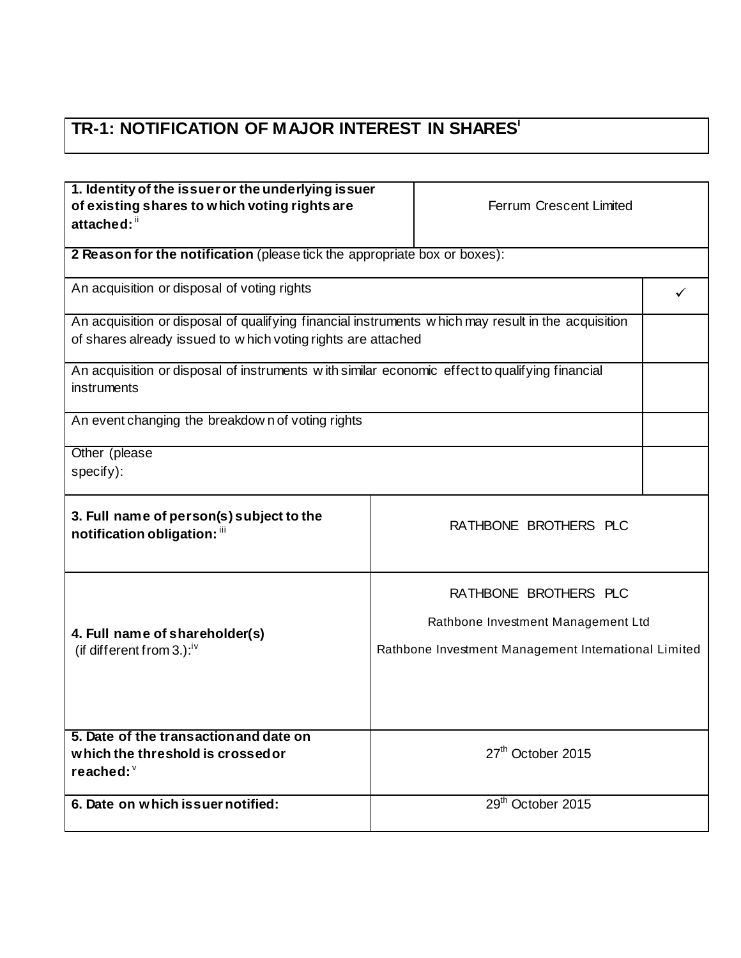## **TR-1: NOTIFICATION OF MAJOR INTEREST IN SHARES<sup>i</sup>**

| 1. Identity of the issuer or the underlying issuer                                                            |                                                      |  |
|---------------------------------------------------------------------------------------------------------------|------------------------------------------------------|--|
| of existing shares to which voting rights are<br>Ferrum Crescent Limited                                      |                                                      |  |
| attached: "                                                                                                   |                                                      |  |
|                                                                                                               |                                                      |  |
| 2 Reason for the notification (please tick the appropriate box or boxes):                                     |                                                      |  |
| An acquisition or disposal of voting rights                                                                   |                                                      |  |
|                                                                                                               |                                                      |  |
| An acquisition or disposal of qualifying financial instruments w hich may result in the acquisition           |                                                      |  |
| of shares already issued to w hich voting rights are attached                                                 |                                                      |  |
|                                                                                                               |                                                      |  |
| An acquisition or disposal of instruments with similar economic effect to qualifying financial<br>instruments |                                                      |  |
|                                                                                                               |                                                      |  |
| An event changing the breakdown of voting rights                                                              |                                                      |  |
|                                                                                                               |                                                      |  |
| Other (please                                                                                                 |                                                      |  |
| specify):                                                                                                     |                                                      |  |
|                                                                                                               |                                                      |  |
| 3. Full name of person(s) subject to the                                                                      |                                                      |  |
| RATHBONE BROTHERS PLC<br>notification obligation: "                                                           |                                                      |  |
|                                                                                                               |                                                      |  |
|                                                                                                               |                                                      |  |
| RATHBONE BROTHERS PLC                                                                                         |                                                      |  |
|                                                                                                               | Rathbone Investment Management Ltd                   |  |
| 4. Full name of shareholder(s)                                                                                |                                                      |  |
| (if different from 3.): $iv$                                                                                  | Rathbone Investment Management International Limited |  |
|                                                                                                               |                                                      |  |
|                                                                                                               |                                                      |  |
|                                                                                                               |                                                      |  |
| 5. Date of the transaction and date on                                                                        |                                                      |  |
| 27 <sup>th</sup> October 2015<br>which the threshold is crossed or                                            |                                                      |  |
| reached: $\degree$                                                                                            |                                                      |  |
|                                                                                                               |                                                      |  |
| 29 <sup>th</sup> October 2015<br>6. Date on which issuer notified:                                            |                                                      |  |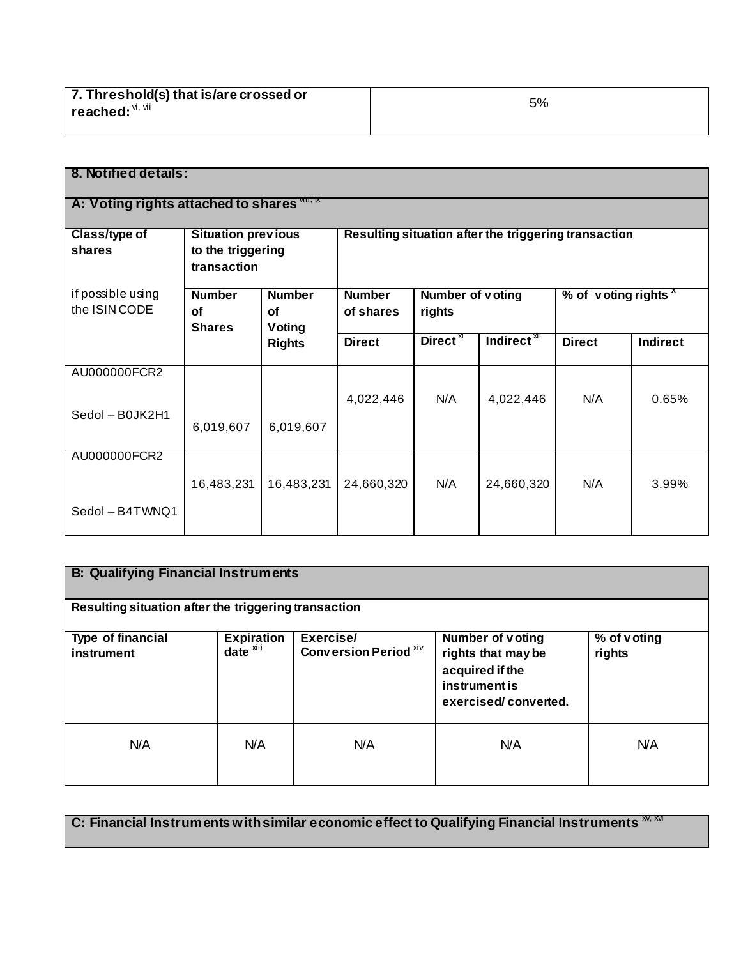| 7. Threshold(s) that is/are crossed or | 5% |
|----------------------------------------|----|
| $l$ reached: $\mathsf{M}, \mathsf{M}$  |    |
|                                        |    |

| 8. Notified details:                               |                                                               |                                             |                            |                                   |                                                      |                      |                 |
|----------------------------------------------------|---------------------------------------------------------------|---------------------------------------------|----------------------------|-----------------------------------|------------------------------------------------------|----------------------|-----------------|
| A: Voting rights attached to shares $\frac{nm}{n}$ |                                                               |                                             |                            |                                   |                                                      |                      |                 |
| <b>Class/type of</b><br>shares                     | <b>Situation previous</b><br>to the triggering<br>transaction |                                             |                            |                                   | Resulting situation after the triggering transaction |                      |                 |
| if possible using<br>the ISIN CODE                 | <b>Number</b><br>Οf<br><b>Shares</b>                          | <b>Number</b><br><b>of</b><br><b>Voting</b> | <b>Number</b><br>of shares | <b>Number of voting</b><br>rights |                                                      | % of voting rights * |                 |
|                                                    |                                                               | <b>Rights</b>                               | <b>Direct</b>              | Direct $\overline{X}$             | Indirect <sup>XII</sup>                              | <b>Direct</b>        | <b>Indirect</b> |
| AU000000FCR2                                       |                                                               |                                             | 4,022,446                  | N/A                               | 4,022,446                                            | N/A                  | 0.65%           |
| Sedol - B0JK2H1                                    | 6,019,607                                                     | 6,019,607                                   |                            |                                   |                                                      |                      |                 |
| AU000000FCR2                                       | 16,483,231                                                    | 16,483,231                                  | 24,660,320                 | N/A                               | 24,660,320                                           | N/A                  | 3.99%           |
| Sedol - B4TWNQ1                                    |                                                               |                                             |                            |                                   |                                                      |                      |                 |

| <b>B: Qualifying Financial Instruments</b>           |                                               |                                    |                                                                                                           |                       |
|------------------------------------------------------|-----------------------------------------------|------------------------------------|-----------------------------------------------------------------------------------------------------------|-----------------------|
| Resulting situation after the triggering transaction |                                               |                                    |                                                                                                           |                       |
| Type of financial<br>instrument                      | <b>Expiration</b><br>$date^{\overline{x}iii}$ | Exercise/<br>Conversion Period XIV | <b>Number of voting</b><br>rights that may be<br>acquired if the<br>instrument is<br>exercised/converted. | % of voting<br>rights |
| N/A                                                  | N/A                                           | <b>N/A</b>                         | N/A                                                                                                       | N/A                   |

**C: Financial Instruments with similar economic effect to Qualifying Financial Instruments**  $\frac{X}{X}$ **,**  $\frac{X}{X}$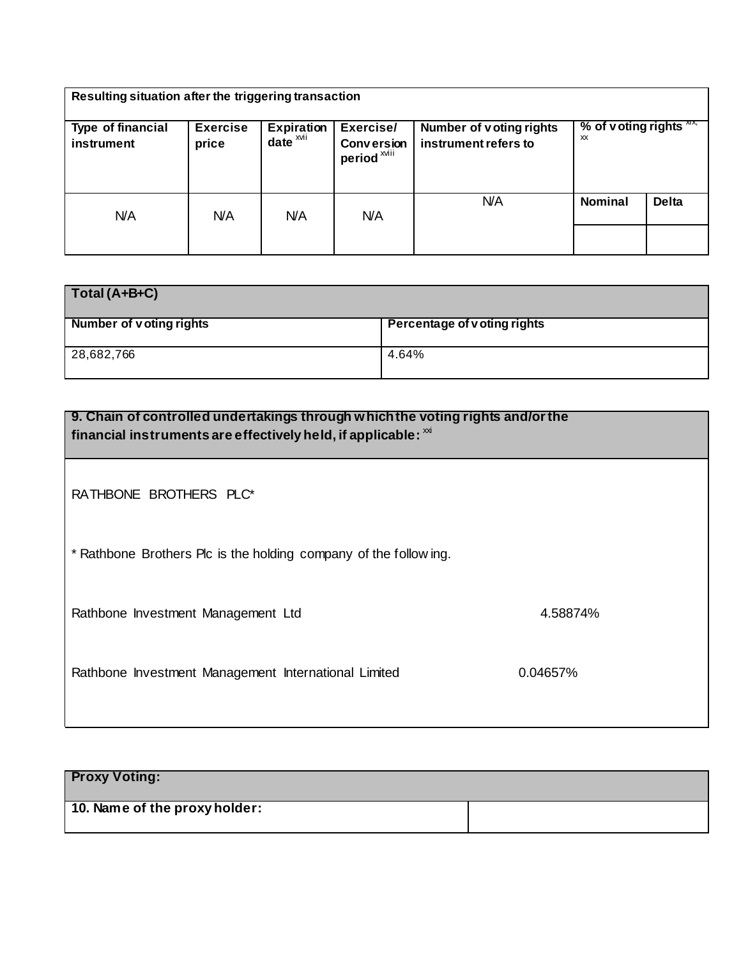| Resulting situation after the triggering transaction |                          |                                           |                                                           |                                                 |                              |              |
|------------------------------------------------------|--------------------------|-------------------------------------------|-----------------------------------------------------------|-------------------------------------------------|------------------------------|--------------|
| Type of financial<br>instrument                      | <b>Exercise</b><br>price | Expiration<br>$date^{\overline{x}^{xii}}$ | Exercise/<br><b>Conversion</b><br>period <sup>xviii</sup> | Number of voting rights<br>instrument refers to | % of voting rights $X$<br>XX |              |
| N/A                                                  | <b>N/A</b>               | N/A                                       | <b>N/A</b>                                                | <b>N/A</b>                                      | <b>Nominal</b>               | <b>Delta</b> |
|                                                      |                          |                                           |                                                           |                                                 |                              |              |

| $\vert$ Total (A+B+C)          |                              |
|--------------------------------|------------------------------|
| <b>Number of voting rights</b> | Percentage of v oting rights |
| 28,682,766                     | 4.64%                        |

| 9. Chain of controlled undertakings through which the voting rights and/or the<br>financial instruments are effectively held, if applicable: $\frac{1}{100}$ |          |  |
|--------------------------------------------------------------------------------------------------------------------------------------------------------------|----------|--|
| RATHBONE BROTHERS PLC*                                                                                                                                       |          |  |
| * Rathbone Brothers Plc is the holding company of the following.                                                                                             |          |  |
| Rathbone Investment Management Ltd                                                                                                                           | 4.58874% |  |
| Rathbone Investment Management International Limited                                                                                                         | 0.04657% |  |

| <b>Proxy Voting:</b>          |  |
|-------------------------------|--|
| 10. Name of the proxy holder: |  |